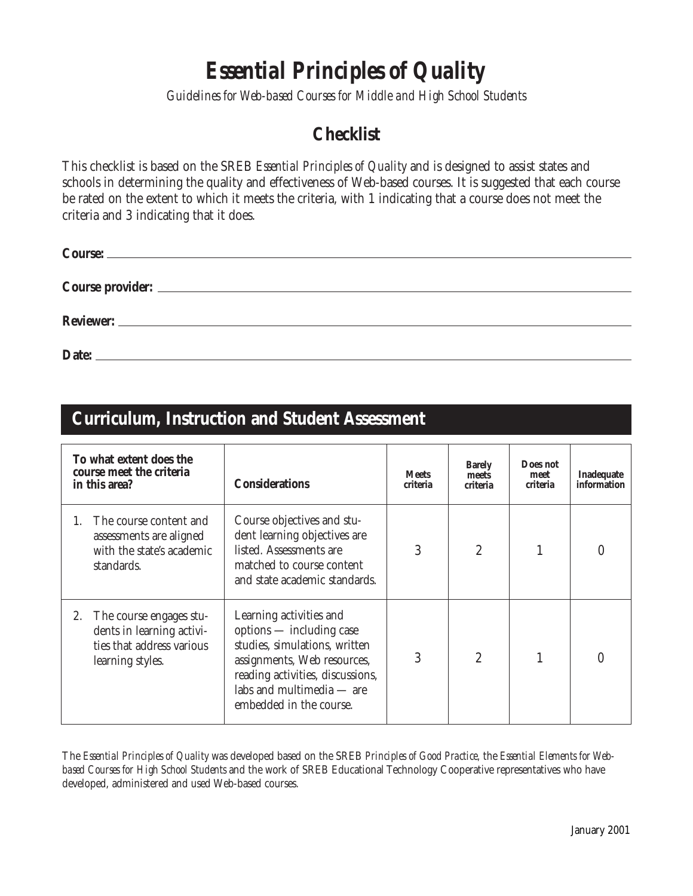## *Essential Principles of Quality*

*Guidelines for Web-based Courses for Middle and High School Students*

#### **Checklist**

This checklist is based on the SREB *Essential Principles of Quality* and is designed to assist states and schools in determining the quality and effectiveness of Web-based courses. It is suggested that each course be rated on the extent to which it meets the criteria, with 1 indicating that a course does not meet the criteria and 3 indicating that it does.

| Date: |  |  |  |
|-------|--|--|--|

#### **Curriculum, Instruction and Student Assessment**

| To what extent does the<br>course meet the criteria<br>in this area? |                                                                                                       | <b>Considerations</b>                                                                                                                                                                                           | <b>Meets</b><br>criteria | <b>Barely</b><br>meets<br>criteria | Does not<br>meet<br>criteria | Inadequate<br>information |
|----------------------------------------------------------------------|-------------------------------------------------------------------------------------------------------|-----------------------------------------------------------------------------------------------------------------------------------------------------------------------------------------------------------------|--------------------------|------------------------------------|------------------------------|---------------------------|
|                                                                      | The course content and<br>assessments are aligned<br>with the state's academic<br>standards.          | Course objectives and stu-<br>dent learning objectives are<br>listed. Assessments are<br>matched to course content<br>and state academic standards.                                                             | 3                        | $\overline{2}$                     |                              |                           |
| 2.                                                                   | The course engages stu-<br>dents in learning activi-<br>ties that address various<br>learning styles. | Learning activities and<br>options — including case<br>studies, simulations, written<br>assignments, Web resources,<br>reading activities, discussions,<br>labs and multimedia - are<br>embedded in the course. | 3                        | $\overline{2}$                     |                              |                           |

The *Essential Principles of Quality* was developed based on the SREB *Principles of Good Practice,* the *Essential Elements for Webbased Courses for High School Students* and the work of SREB Educational Technology Cooperative representatives who have developed, administered and used Web-based courses.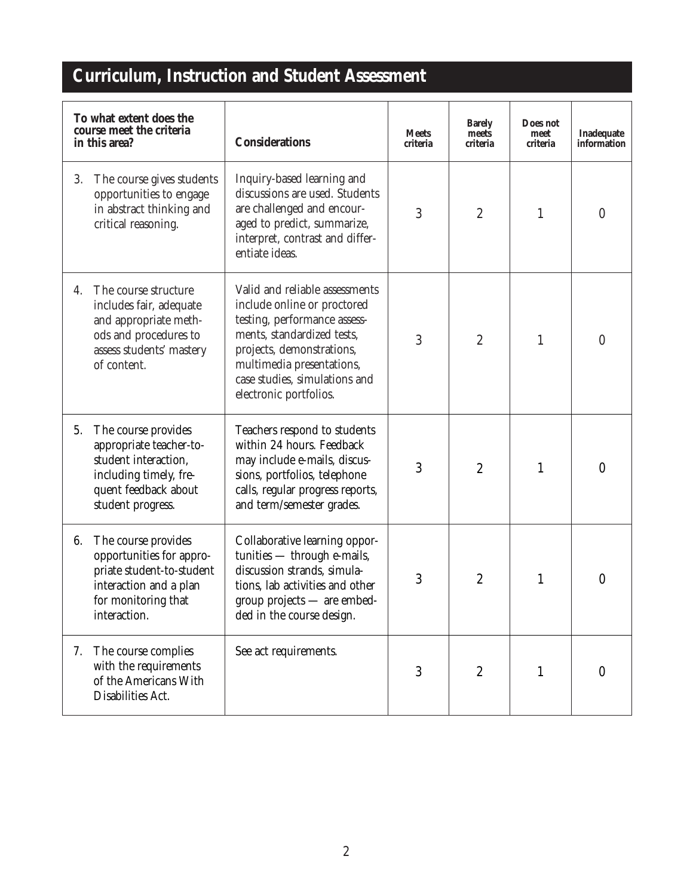## **Curriculum, Instruction and Student Assessment**

| To what extent does the<br>course meet the criteria<br>in this area? |                                                                                                                                               | <b>Considerations</b>                                                                                                                                                                                                                            | <b>Meets</b><br>criteria | <b>Barely</b><br>meets<br>criteria | Does not<br>meet<br>criteria | Inadequate<br>information |
|----------------------------------------------------------------------|-----------------------------------------------------------------------------------------------------------------------------------------------|--------------------------------------------------------------------------------------------------------------------------------------------------------------------------------------------------------------------------------------------------|--------------------------|------------------------------------|------------------------------|---------------------------|
| 3.                                                                   | The course gives students<br>opportunities to engage<br>in abstract thinking and<br>critical reasoning.                                       | Inquiry-based learning and<br>discussions are used. Students<br>are challenged and encour-<br>aged to predict, summarize,<br>interpret, contrast and differ-<br>entiate ideas.                                                                   | 3                        | $\boldsymbol{2}$                   | 1                            | $\boldsymbol{0}$          |
| 4.                                                                   | The course structure<br>includes fair, adequate<br>and appropriate meth-<br>ods and procedures to<br>assess students' mastery<br>of content.  | Valid and reliable assessments<br>include online or proctored<br>testing, performance assess-<br>ments, standardized tests,<br>projects, demonstrations,<br>multimedia presentations,<br>case studies, simulations and<br>electronic portfolios. | 3                        | $\boldsymbol{2}$                   | $\mathbf{1}$                 | $\mathbf{0}$              |
| 5.                                                                   | The course provides<br>appropriate teacher-to-<br>student interaction,<br>including timely, fre-<br>quent feedback about<br>student progress. | Teachers respond to students<br>within 24 hours. Feedback<br>may include e-mails, discus-<br>sions, portfolios, telephone<br>calls, regular progress reports,<br>and term/semester grades.                                                       | 3                        | $\boldsymbol{2}$                   | $\mathbf{1}$                 | $\boldsymbol{0}$          |
| 6.                                                                   | The course provides<br>opportunities for appro-<br>priate student-to-student<br>interaction and a plan<br>for monitoring that<br>interaction. | Collaborative learning oppor-<br>tunities - through e-mails,<br>discussion strands, simula-<br>tions, lab activities and other<br>$group$ projects $-$ are embed-<br>ded in the course design.                                                   | 3                        | $\boldsymbol{2}$                   | $\mathbf{1}$                 | $\boldsymbol{0}$          |
| 7.                                                                   | The course complies<br>with the requirements<br>of the Americans With<br>Disabilities Act.                                                    | See act requirements.                                                                                                                                                                                                                            | 3                        | $\boldsymbol{2}$                   | 1                            | $\boldsymbol{0}$          |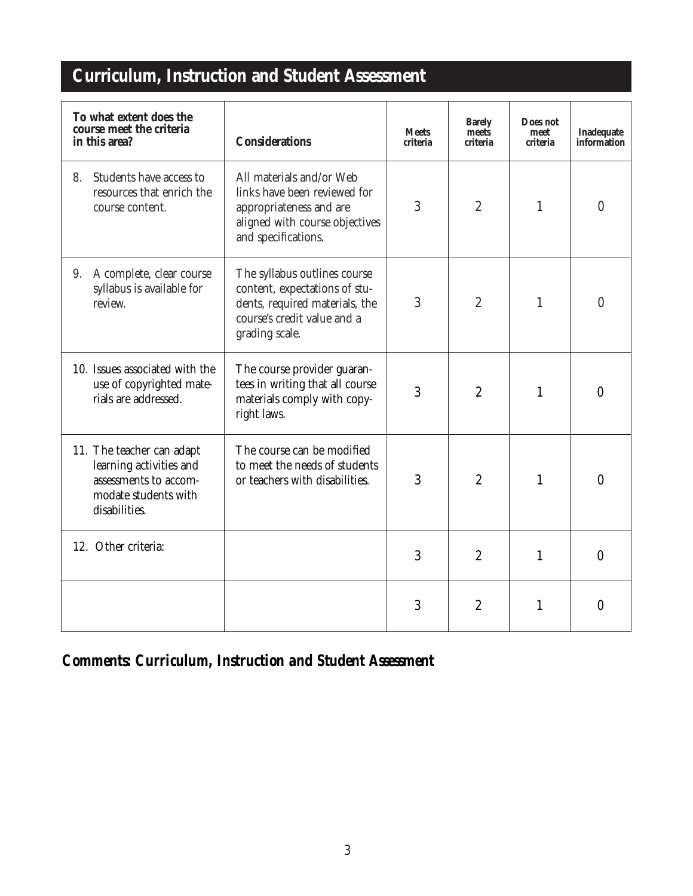# **Curriculum, Instruction and Student Assessment**

| To what extent does the<br>course meet the criteria<br>in this area?                                                   | <b>Considerations</b>                                                                                                                            | <b>Meets</b><br>criteria | <b>Barely</b><br>Does not<br>meets<br>meet<br>criteria<br>criteria |              | Inadequate<br>information |
|------------------------------------------------------------------------------------------------------------------------|--------------------------------------------------------------------------------------------------------------------------------------------------|--------------------------|--------------------------------------------------------------------|--------------|---------------------------|
| Students have access to<br>8.<br>resources that enrich the<br>course content.                                          | All materials and/or Web<br>links have been reviewed for<br>appropriateness and are<br>aligned with course objectives<br>and specifications.     | 3                        | $\boldsymbol{2}$                                                   | $\mathbf{1}$ | $\boldsymbol{0}$          |
| A complete, clear course<br>9.<br>syllabus is available for<br>review.                                                 | The syllabus outlines course<br>content, expectations of stu-<br>dents, required materials, the<br>course's credit value and a<br>grading scale. | 3                        | $\overline{2}$                                                     | $\mathbf{1}$ | $\theta$                  |
| 10. Issues associated with the<br>use of copyrighted mate-<br>rials are addressed.                                     | The course provider guaran-<br>tees in writing that all course<br>materials comply with copy-<br>right laws.                                     | 3                        | $\boldsymbol{2}$                                                   | $\mathbf{1}$ | $\mathbf{0}$              |
| 11. The teacher can adapt<br>learning activities and<br>assessments to accom-<br>modate students with<br>disabilities. | The course can be modified<br>to meet the needs of students<br>or teachers with disabilities.                                                    | 3                        | $\overline{2}$                                                     | $\mathbf{1}$ | $\mathbf{0}$              |
| 12. Other criteria:                                                                                                    |                                                                                                                                                  | 3                        | $\overline{2}$                                                     | $\mathbf{1}$ | $\mathbf{0}$              |
|                                                                                                                        |                                                                                                                                                  | 3                        | $\boldsymbol{2}$                                                   | $\mathbf{1}$ | $\theta$                  |

*Comments: Curriculum, Instruction and Student Assessment*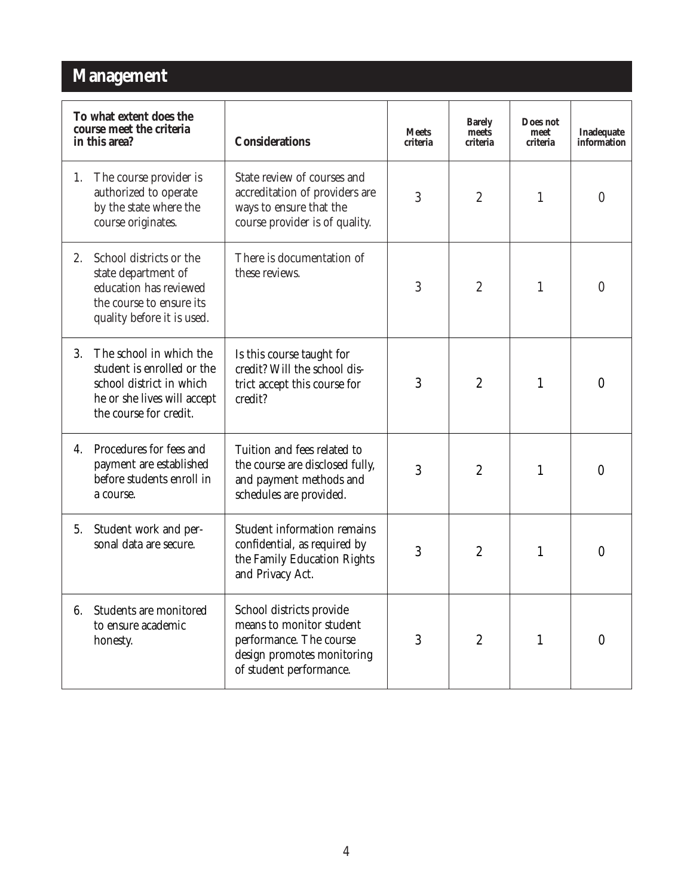#### **Management**

| To what extent does the<br>course meet the criteria<br>in this area? |                                                                                                                                            | <b>Considerations</b>                                                                                                                                           | <b>Meets</b><br>criteria | <b>Barely</b><br>meets<br>criteria | Does not<br>meet<br>criteria | Inadequate<br>information |
|----------------------------------------------------------------------|--------------------------------------------------------------------------------------------------------------------------------------------|-----------------------------------------------------------------------------------------------------------------------------------------------------------------|--------------------------|------------------------------------|------------------------------|---------------------------|
| 1.                                                                   | The course provider is<br>authorized to operate<br>by the state where the<br>course originates.                                            | State review of courses and<br>accreditation of providers are<br>ways to ensure that the<br>course provider is of quality.                                      | 3                        | $\boldsymbol{2}$                   | $\mathbf{1}$                 | $\boldsymbol{0}$          |
| 2.                                                                   | School districts or the<br>state department of<br>education has reviewed<br>the course to ensure its<br>quality before it is used.         | There is documentation of<br>these reviews.                                                                                                                     | 3                        | $\overline{2}$                     | 1                            | $\overline{0}$            |
| 3.                                                                   | The school in which the<br>student is enrolled or the<br>school district in which<br>he or she lives will accept<br>the course for credit. | Is this course taught for<br>credit? Will the school dis-<br>3<br>trict accept this course for<br>credit?                                                       |                          | $\overline{2}$                     | $\mathbf{1}$                 | $\mathbf{0}$              |
| 4.                                                                   | Procedures for fees and<br>payment are established<br>before students enroll in<br>a course.                                               | Tuition and fees related to<br>the course are disclosed fully,<br>and payment methods and<br>schedules are provided.                                            | 3                        | $\boldsymbol{2}$                   | 1                            | $\mathbf{0}$              |
| 5.                                                                   | Student work and per-<br>sonal data are secure.                                                                                            | <b>Student information remains</b><br>confidential, as required by<br>the Family Education Rights<br>and Privacy Act.                                           | 3                        | $\overline{2}$                     | 1                            | $\boldsymbol{0}$          |
| 6.                                                                   | Students are monitored<br>to ensure academic<br>honesty.                                                                                   | School districts provide<br>means to monitor student<br>performance. The course<br>3<br>$\overline{2}$<br>design promotes monitoring<br>of student performance. |                          | 1                                  | $\boldsymbol{0}$             |                           |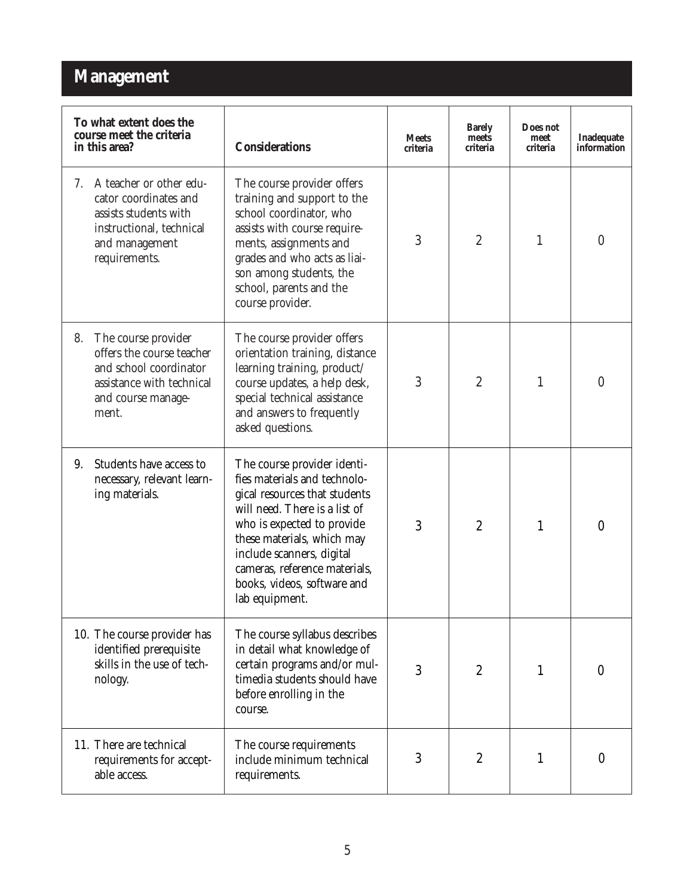#### **Management**

| To what extent does the<br>course meet the criteria<br>in this area?                                                                           | <b>Considerations</b>                                                                                                                                                                                                                                                                                    | <b>Meets</b><br>criteria | <b>Barely</b><br>meets<br>criteria | Does not<br>meet<br>criteria | Inadequate<br>information |
|------------------------------------------------------------------------------------------------------------------------------------------------|----------------------------------------------------------------------------------------------------------------------------------------------------------------------------------------------------------------------------------------------------------------------------------------------------------|--------------------------|------------------------------------|------------------------------|---------------------------|
| A teacher or other edu-<br>7.<br>cator coordinates and<br>assists students with<br>instructional, technical<br>and management<br>requirements. | The course provider offers<br>training and support to the<br>school coordinator, who<br>assists with course require-<br>ments, assignments and<br>grades and who acts as liai-<br>son among students, the<br>school, parents and the<br>course provider.                                                 | 3                        | $\boldsymbol{2}$                   | $\mathbf{1}$                 | $\boldsymbol{0}$          |
| The course provider<br>8.<br>offers the course teacher<br>and school coordinator<br>assistance with technical<br>and course manage-<br>ment.   | The course provider offers<br>orientation training, distance<br>learning training, product/<br>course updates, a help desk,<br>special technical assistance<br>and answers to frequently<br>asked questions.                                                                                             | 3                        | $\overline{2}$                     | 1                            | $\mathbf{0}$              |
| Students have access to<br>9.<br>necessary, relevant learn-<br>ing materials.                                                                  | The course provider identi-<br>fies materials and technolo-<br>gical resources that students<br>will need. There is a list of<br>who is expected to provide<br>these materials, which may<br>include scanners, digital<br>cameras, reference materials,<br>books, videos, software and<br>lab equipment. | 3                        | $\overline{2}$                     | 1                            | $\mathbf{0}$              |
| 10. The course provider has<br>identified prerequisite<br>skills in the use of tech-<br>nology.                                                | The course syllabus describes<br>in detail what knowledge of<br>certain programs and/or mul-<br>timedia students should have<br>before enrolling in the<br>course.                                                                                                                                       | 3                        | $\overline{2}$                     | $\mathbf{1}$                 | $\mathbf{0}$              |
| 11. There are technical<br>requirements for accept-<br>able access.                                                                            | The course requirements<br>include minimum technical<br>requirements.                                                                                                                                                                                                                                    | 3                        | $\boldsymbol{2}$                   | 1                            | $\mathbf{0}$              |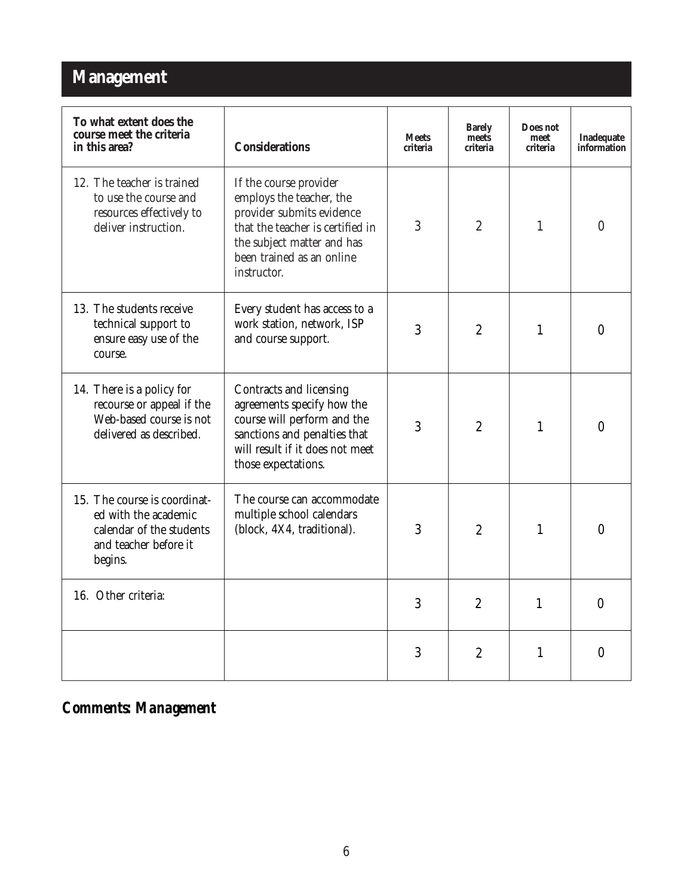### **Management**

| To what extent does the<br>course meet the criteria<br>in this area?                                                 | <b>Considerations</b>                                                                                                                                                                         | <b>Meets</b><br>criteria | <b>Barely</b><br>meets<br>criteria | Does not<br>meet<br>criteria | <b>Inadequate</b><br>information |
|----------------------------------------------------------------------------------------------------------------------|-----------------------------------------------------------------------------------------------------------------------------------------------------------------------------------------------|--------------------------|------------------------------------|------------------------------|----------------------------------|
| 12. The teacher is trained<br>to use the course and<br>resources effectively to<br>deliver instruction.              | If the course provider<br>employs the teacher, the<br>provider submits evidence<br>that the teacher is certified in<br>the subject matter and has<br>been trained as an online<br>instructor. | 3                        | $\overline{2}$                     | 1                            | $\theta$                         |
| 13. The students receive<br>technical support to<br>ensure easy use of the<br>course.                                | Every student has access to a<br>work station, network, ISP<br>3<br>$\overline{2}$<br>and course support.                                                                                     |                          | 1                                  | $\theta$                     |                                  |
| 14. There is a policy for<br>recourse or appeal if the<br>Web-based course is not<br>delivered as described.         | Contracts and licensing<br>agreements specify how the<br>course will perform and the<br>sanctions and penalties that<br>will result if it does not meet<br>those expectations.                | 3                        | $\overline{2}$                     | $\mathbf{1}$                 | $\mathbf{0}$                     |
| 15. The course is coordinat-<br>ed with the academic<br>calendar of the students<br>and teacher before it<br>begins. | The course can accommodate<br>multiple school calendars<br>(block, 4X4, traditional).                                                                                                         | 3                        | $\overline{2}$                     | 1                            | $\boldsymbol{0}$                 |
| 16. Other criteria:                                                                                                  |                                                                                                                                                                                               | 3                        | $\overline{2}$                     | $\mathbf{1}$                 | $\mathbf{0}$                     |
|                                                                                                                      |                                                                                                                                                                                               | 3                        | $\boldsymbol{2}$                   | 1                            | $\mathbf{0}$                     |

### *Comments: Management*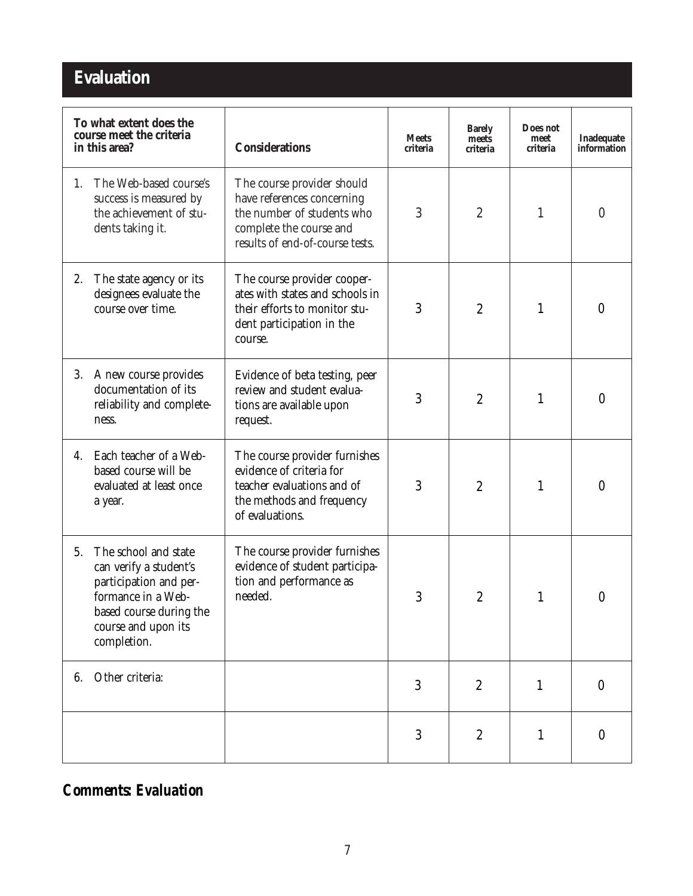## **Evaluation**

| To what extent does the<br>course meet the criteria<br>in this area? |                                                                                                                                                                                             | <b>Considerations</b>                                                                                                                                | <b>Meets</b><br>criteria | <b>Barely</b><br>meets<br>criteria | Does not<br>meet<br>criteria | Inadequate<br>information |
|----------------------------------------------------------------------|---------------------------------------------------------------------------------------------------------------------------------------------------------------------------------------------|------------------------------------------------------------------------------------------------------------------------------------------------------|--------------------------|------------------------------------|------------------------------|---------------------------|
| 1.                                                                   | The Web-based course's<br>success is measured by<br>the achievement of stu-<br>dents taking it.                                                                                             | The course provider should<br>have references concerning<br>the number of students who<br>complete the course and<br>results of end-of-course tests. |                          | $\boldsymbol{2}$                   | 1                            | $\boldsymbol{0}$          |
| 2.                                                                   | The state agency or its<br>designees evaluate the<br>course over time.                                                                                                                      | The course provider cooper-<br>ates with states and schools in<br>their efforts to monitor stu-<br>dent participation in the<br>course.              | 3                        | $\boldsymbol{2}$                   | 1                            | $\boldsymbol{0}$          |
| 3.                                                                   | A new course provides<br>Evidence of beta testing, peer<br>documentation of its<br>review and student evalua-<br>reliability and complete-<br>tions are available upon<br>ness.<br>request. |                                                                                                                                                      | 3                        | $\boldsymbol{2}$                   | $\mathbf{1}$                 | $\boldsymbol{0}$          |
| 4.                                                                   | Each teacher of a Web-<br>based course will be<br>evaluated at least once<br>a year.                                                                                                        | The course provider furnishes<br>evidence of criteria for<br>teacher evaluations and of<br>the methods and frequency<br>of evaluations.              | 3                        | $\boldsymbol{2}$                   | 1                            | $\mathbf{0}$              |
| 5.                                                                   | The school and state<br>can verify a student's<br>participation and per-<br>formance in a Web-<br>based course during the<br>course and upon its<br>completion.                             | The course provider furnishes<br>evidence of student participa-<br>tion and performance as<br>needed.                                                | 3                        | $\overline{2}$                     | 1                            | $\theta$                  |
| 6.                                                                   | Other criteria:                                                                                                                                                                             |                                                                                                                                                      | 3                        | $\boldsymbol{2}$                   | $\mathbf{1}$                 | $\boldsymbol{0}$          |
|                                                                      |                                                                                                                                                                                             |                                                                                                                                                      | 3                        | $\boldsymbol{2}$                   | 1                            | $\boldsymbol{0}$          |

#### *Comments: Evaluation*